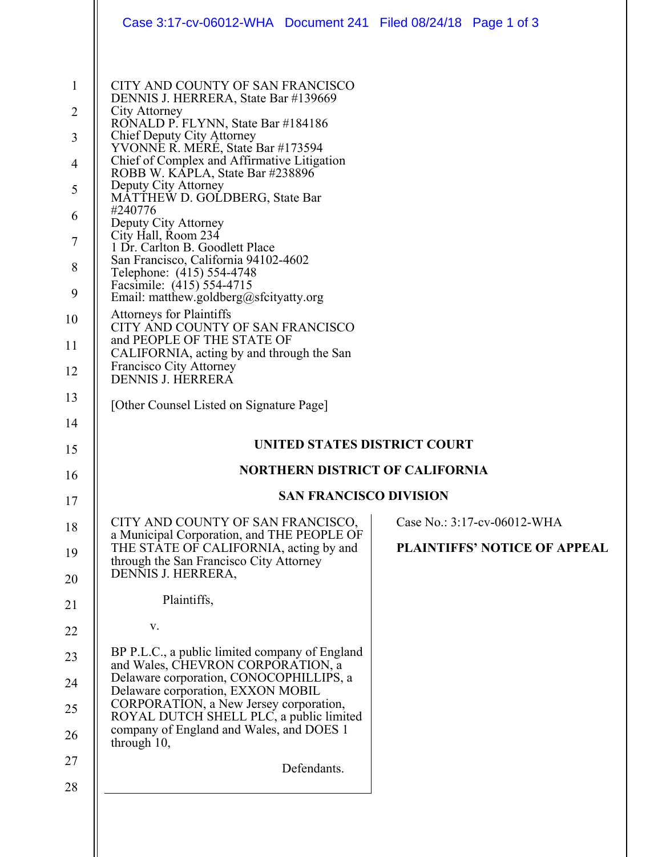|                               | Case 3:17-cv-06012-WHA Document 241 Filed 08/24/18 Page 1 of 3                                                                                                                                                                                                                                                |                                                                    |  |  |  |  |
|-------------------------------|---------------------------------------------------------------------------------------------------------------------------------------------------------------------------------------------------------------------------------------------------------------------------------------------------------------|--------------------------------------------------------------------|--|--|--|--|
| 1<br>$\overline{2}$<br>3<br>4 | CITY AND COUNTY OF SAN FRANCISCO<br>DENNIS J. HERRERA, State Bar #139669<br>City Attorney<br>RONALD P. FLYNN, State Bar #184186<br>Chief Deputy City Attorney<br>YVONNE R. MERE, State Bar #173594<br>Chief of Complex and Affirmative Litigation<br>ROBB W. KAPLA, State Bar #238896<br>Deputy City Attorney |                                                                    |  |  |  |  |
| 5<br>6<br>7<br>8<br>9         | MATTHEW D. GOLDBERG, State Bar<br>#240776<br>Deputy City Attorney<br>City Hall, Room 234<br>1 Dr. Carlton B. Goodlett Place<br>San Francisco, California 94102-4602<br>Telephone: (415) 554-4748<br>Facsimile: (415) 554-4715<br>Email: matthew.goldberg@sfcityatty.org                                       |                                                                    |  |  |  |  |
| 10<br>11<br>12                | <b>Attorneys for Plaintiffs</b><br>CITY AND COUNTY OF SAN FRANCISCO<br>and PEOPLE OF THE STATE OF<br>CALIFORNIA, acting by and through the San<br>Francisco City Attorney<br>DENNIS J. HERRERA                                                                                                                |                                                                    |  |  |  |  |
| 13<br>14                      | [Other Counsel Listed on Signature Page]                                                                                                                                                                                                                                                                      |                                                                    |  |  |  |  |
| 15                            | <b>UNITED STATES DISTRICT COURT</b>                                                                                                                                                                                                                                                                           |                                                                    |  |  |  |  |
|                               |                                                                                                                                                                                                                                                                                                               |                                                                    |  |  |  |  |
| 16                            | <b>NORTHERN DISTRICT OF CALIFORNIA</b>                                                                                                                                                                                                                                                                        |                                                                    |  |  |  |  |
| 17                            | <b>SAN FRANCISCO DIVISION</b>                                                                                                                                                                                                                                                                                 |                                                                    |  |  |  |  |
| 18<br>19<br>20                | CITY AND COUNTY OF SAN FRANCISCO,<br>a Municipal Corporation, and THE PEOPLE OF<br>THE STATE OF CALIFORNIA, acting by and<br>through the San Francisco City Attorney<br>DENNIS J. HERRERA,                                                                                                                    | Case No.: 3:17-cv-06012-WHA<br><b>PLAINTIFFS' NOTICE OF APPEAL</b> |  |  |  |  |
| 21                            | Plaintiffs,                                                                                                                                                                                                                                                                                                   |                                                                    |  |  |  |  |
| 22                            | V.                                                                                                                                                                                                                                                                                                            |                                                                    |  |  |  |  |
| 23                            | BP P.L.C., a public limited company of England                                                                                                                                                                                                                                                                |                                                                    |  |  |  |  |
| 24                            | and Wales, CHEVRON CORPORATION, a<br>Delaware corporation, CONOCOPHILLIPS, a<br>Delaware corporation, EXXON MOBIL                                                                                                                                                                                             |                                                                    |  |  |  |  |
| 25<br>26                      | CORPORATION, a New Jersey corporation,<br>ROYAL DUTCH SHELL PLC, a public limited<br>company of England and Wales, and DOES 1<br>through 10,                                                                                                                                                                  |                                                                    |  |  |  |  |
| 27<br>28                      | Defendants.                                                                                                                                                                                                                                                                                                   |                                                                    |  |  |  |  |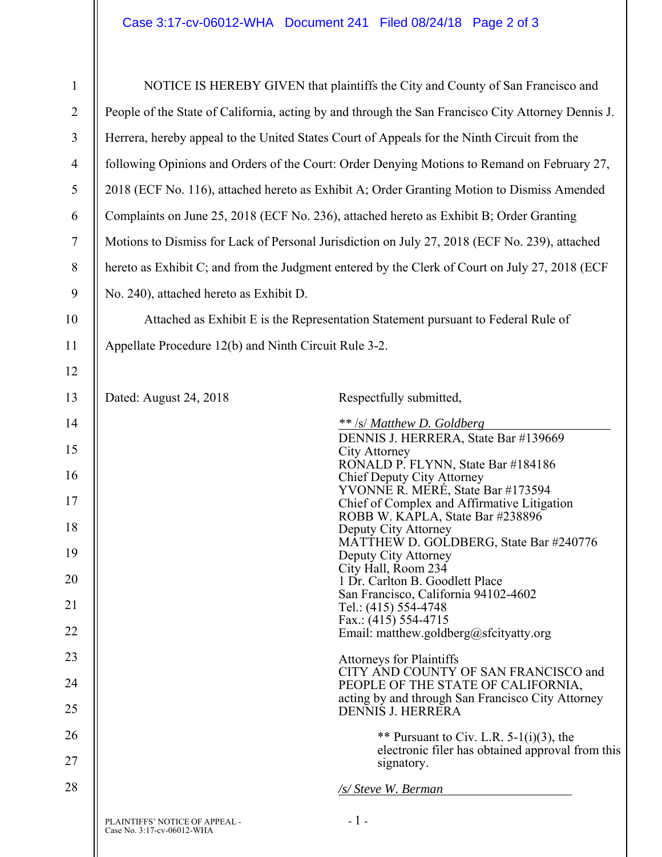| $\mathbf{1}$   | NOTICE IS HEREBY GIVEN that plaintiffs the City and County of San Francisco and                    |                                                                                                       |  |  |  |  |
|----------------|----------------------------------------------------------------------------------------------------|-------------------------------------------------------------------------------------------------------|--|--|--|--|
| $\overline{2}$ | People of the State of California, acting by and through the San Francisco City Attorney Dennis J. |                                                                                                       |  |  |  |  |
| 3              | Herrera, hereby appeal to the United States Court of Appeals for the Ninth Circuit from the        |                                                                                                       |  |  |  |  |
| $\overline{4}$ | following Opinions and Orders of the Court: Order Denying Motions to Remand on February 27,        |                                                                                                       |  |  |  |  |
| 5              | 2018 (ECF No. 116), attached hereto as Exhibit A; Order Granting Motion to Dismiss Amended         |                                                                                                       |  |  |  |  |
| 6              | Complaints on June 25, 2018 (ECF No. 236), attached hereto as Exhibit B; Order Granting            |                                                                                                       |  |  |  |  |
| $\tau$         | Motions to Dismiss for Lack of Personal Jurisdiction on July 27, 2018 (ECF No. 239), attached      |                                                                                                       |  |  |  |  |
| 8              | hereto as Exhibit C; and from the Judgment entered by the Clerk of Court on July 27, 2018 (ECF     |                                                                                                       |  |  |  |  |
| 9              | No. 240), attached hereto as Exhibit D.                                                            |                                                                                                       |  |  |  |  |
| 10             | Attached as Exhibit E is the Representation Statement pursuant to Federal Rule of                  |                                                                                                       |  |  |  |  |
| 11             | Appellate Procedure 12(b) and Ninth Circuit Rule 3-2.                                              |                                                                                                       |  |  |  |  |
| 12             |                                                                                                    |                                                                                                       |  |  |  |  |
| 13             | Dated: August 24, 2018                                                                             | Respectfully submitted,                                                                               |  |  |  |  |
| 14             |                                                                                                    | ** /s/ Matthew D. Goldberg                                                                            |  |  |  |  |
| 15             |                                                                                                    | DENNIS J. HERRERA, State Bar #139669<br><b>City Attorney</b>                                          |  |  |  |  |
| 16             |                                                                                                    | RONALD P. FLYNN, State Bar #184186<br>Chief Deputy City Attorney<br>YVONNE R. MERÉ, State Bar #173594 |  |  |  |  |
| 17             |                                                                                                    | Chief of Complex and Affirmative Litigation                                                           |  |  |  |  |
| 18             |                                                                                                    | ROBB W. KAPLA, State Bar #238896<br>Deputy City Attorney                                              |  |  |  |  |
| 19             | MATTHEW D. GOLDBERG, State Bar #240776<br>Deputy City Attorney                                     |                                                                                                       |  |  |  |  |
| 20             | City Hall, Room 234<br>1 Dr. Carlton B. Goodlett Place                                             |                                                                                                       |  |  |  |  |
| 21             | San Francisco, California 94102-4602<br>Tel.: (415) 554-4748                                       |                                                                                                       |  |  |  |  |
| 22             | Fax.: $(415)$ 554-4715<br>Email: matthew.goldberg@sfcityatty.org                                   |                                                                                                       |  |  |  |  |
| 23             |                                                                                                    | <b>Attorneys for Plaintiffs</b>                                                                       |  |  |  |  |
| 24             |                                                                                                    | CITY AND COUNTY OF SAN FRANCISCO and<br>PEOPLE OF THE STATE OF CALIFORNIA,                            |  |  |  |  |
| 25             |                                                                                                    | acting by and through San Francisco City Attorney<br><b>DENNIS J. HERRERA</b>                         |  |  |  |  |
| 26             |                                                                                                    | ** Pursuant to Civ. L.R. $5-1(i)(3)$ , the                                                            |  |  |  |  |
| 27             | electronic filer has obtained approval from this<br>signatory.                                     |                                                                                                       |  |  |  |  |
| 28             | /s/ Steve W. Berman                                                                                |                                                                                                       |  |  |  |  |
|                | PLAINTIFFS' NOTICE OF APPEAL -<br>Case No. 3:17-cv-06012-WHA                                       | $-1-$                                                                                                 |  |  |  |  |